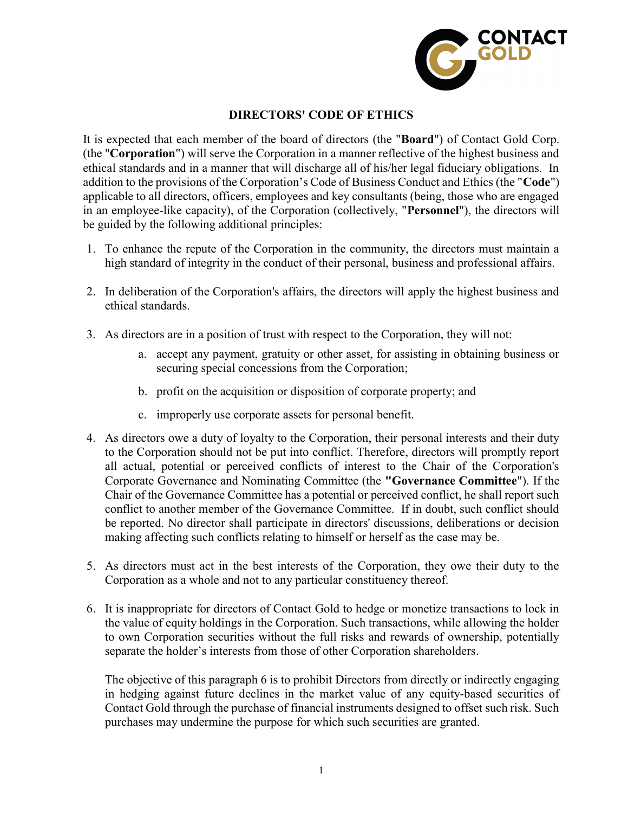

## DIRECTORS' CODE OF ETHICS

It is expected that each member of the board of directors (the "Board") of Contact Gold Corp. (the "Corporation") will serve the Corporation in a manner reflective of the highest business and ethical standards and in a manner that will discharge all of his/her legal fiduciary obligations. In addition to the provisions of the Corporation's Code of Business Conduct and Ethics (the "Code") applicable to all directors, officers, employees and key consultants (being, those who are engaged in an employee-like capacity), of the Corporation (collectively, "Personnel"), the directors will be guided by the following additional principles:

- 1. To enhance the repute of the Corporation in the community, the directors must maintain a high standard of integrity in the conduct of their personal, business and professional affairs.
- 2. In deliberation of the Corporation's affairs, the directors will apply the highest business and ethical standards.
- 3. As directors are in a position of trust with respect to the Corporation, they will not:
	- a. accept any payment, gratuity or other asset, for assisting in obtaining business or securing special concessions from the Corporation;
	- b. profit on the acquisition or disposition of corporate property; and
	- c. improperly use corporate assets for personal benefit.
- 4. As directors owe a duty of loyalty to the Corporation, their personal interests and their duty to the Corporation should not be put into conflict. Therefore, directors will promptly report all actual, potential or perceived conflicts of interest to the Chair of the Corporation's Corporate Governance and Nominating Committee (the "Governance Committee"). If the Chair of the Governance Committee has a potential or perceived conflict, he shall report such conflict to another member of the Governance Committee. If in doubt, such conflict should be reported. No director shall participate in directors' discussions, deliberations or decision making affecting such conflicts relating to himself or herself as the case may be.
- 5. As directors must act in the best interests of the Corporation, they owe their duty to the Corporation as a whole and not to any particular constituency thereof.
- 6. It is inappropriate for directors of Contact Gold to hedge or monetize transactions to lock in the value of equity holdings in the Corporation. Such transactions, while allowing the holder to own Corporation securities without the full risks and rewards of ownership, potentially separate the holder's interests from those of other Corporation shareholders.

The objective of this paragraph 6 is to prohibit Directors from directly or indirectly engaging in hedging against future declines in the market value of any equity-based securities of Contact Gold through the purchase of financial instruments designed to offset such risk. Such purchases may undermine the purpose for which such securities are granted.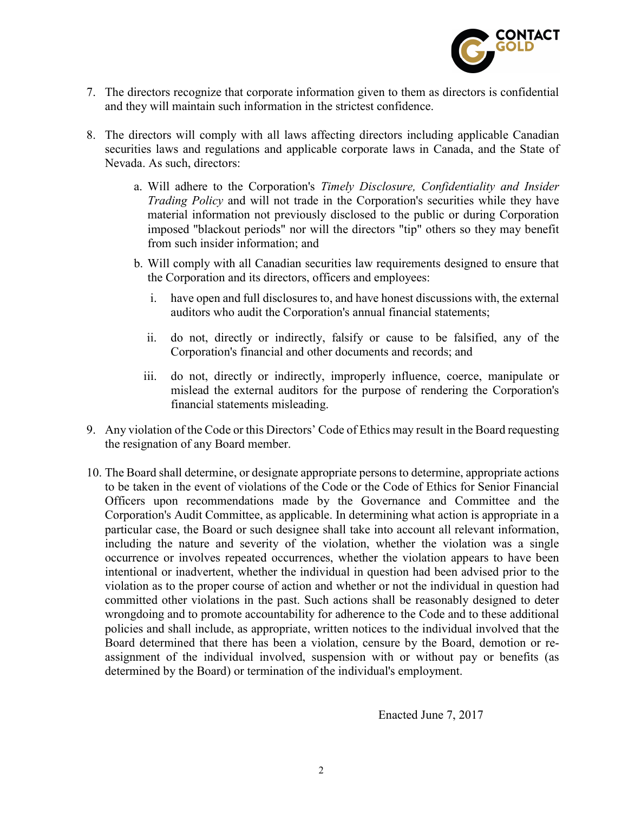

- 7. The directors recognize that corporate information given to them as directors is confidential and they will maintain such information in the strictest confidence.
- 8. The directors will comply with all laws affecting directors including applicable Canadian securities laws and regulations and applicable corporate laws in Canada, and the State of Nevada. As such, directors:
	- a. Will adhere to the Corporation's Timely Disclosure, Confidentiality and Insider Trading Policy and will not trade in the Corporation's securities while they have material information not previously disclosed to the public or during Corporation imposed "blackout periods" nor will the directors "tip" others so they may benefit from such insider information; and
	- b. Will comply with all Canadian securities law requirements designed to ensure that the Corporation and its directors, officers and employees:
		- i. have open and full disclosures to, and have honest discussions with, the external auditors who audit the Corporation's annual financial statements;
		- ii. do not, directly or indirectly, falsify or cause to be falsified, any of the Corporation's financial and other documents and records; and
		- iii. do not, directly or indirectly, improperly influence, coerce, manipulate or mislead the external auditors for the purpose of rendering the Corporation's financial statements misleading.
- 9. Any violation of the Code or this Directors' Code of Ethics may result in the Board requesting the resignation of any Board member.
- 10. The Board shall determine, or designate appropriate persons to determine, appropriate actions to be taken in the event of violations of the Code or the Code of Ethics for Senior Financial Officers upon recommendations made by the Governance and Committee and the Corporation's Audit Committee, as applicable. In determining what action is appropriate in a particular case, the Board or such designee shall take into account all relevant information, including the nature and severity of the violation, whether the violation was a single occurrence or involves repeated occurrences, whether the violation appears to have been intentional or inadvertent, whether the individual in question had been advised prior to the violation as to the proper course of action and whether or not the individual in question had committed other violations in the past. Such actions shall be reasonably designed to deter wrongdoing and to promote accountability for adherence to the Code and to these additional policies and shall include, as appropriate, written notices to the individual involved that the Board determined that there has been a violation, censure by the Board, demotion or reassignment of the individual involved, suspension with or without pay or benefits (as determined by the Board) or termination of the individual's employment.

Enacted June 7, 2017